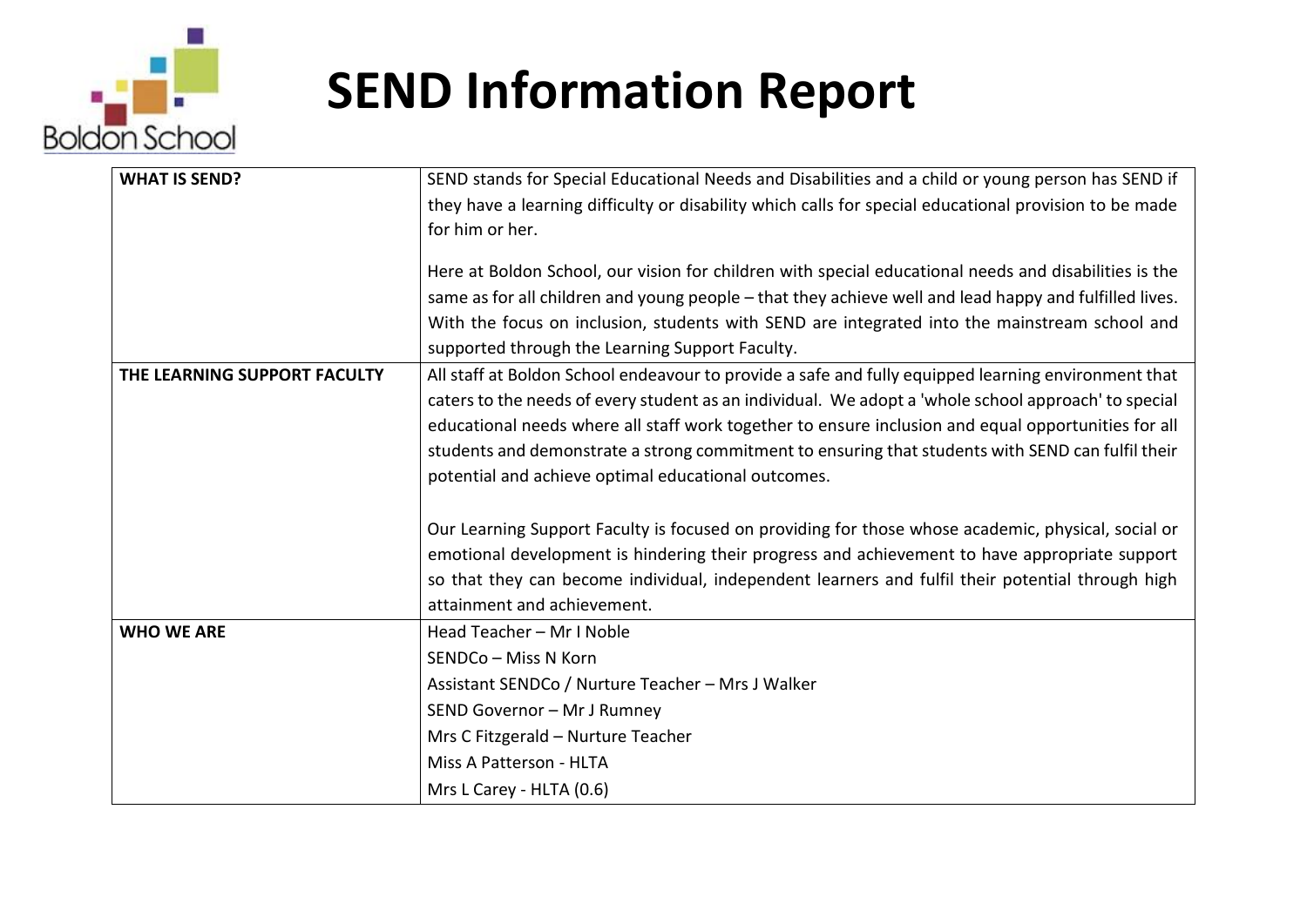

| <b>WHAT IS SEND?</b>         | SEND stands for Special Educational Needs and Disabilities and a child or young person has SEND if     |
|------------------------------|--------------------------------------------------------------------------------------------------------|
|                              | they have a learning difficulty or disability which calls for special educational provision to be made |
|                              | for him or her.                                                                                        |
|                              | Here at Boldon School, our vision for children with special educational needs and disabilities is the  |
|                              | same as for all children and young people - that they achieve well and lead happy and fulfilled lives. |
|                              | With the focus on inclusion, students with SEND are integrated into the mainstream school and          |
|                              | supported through the Learning Support Faculty.                                                        |
| THE LEARNING SUPPORT FACULTY | All staff at Boldon School endeavour to provide a safe and fully equipped learning environment that    |
|                              | caters to the needs of every student as an individual. We adopt a 'whole school approach' to special   |
|                              | educational needs where all staff work together to ensure inclusion and equal opportunities for all    |
|                              | students and demonstrate a strong commitment to ensuring that students with SEND can fulfil their      |
|                              | potential and achieve optimal educational outcomes.                                                    |
|                              | Our Learning Support Faculty is focused on providing for those whose academic, physical, social or     |
|                              | emotional development is hindering their progress and achievement to have appropriate support          |
|                              | so that they can become individual, independent learners and fulfil their potential through high       |
|                              | attainment and achievement.                                                                            |
| <b>WHO WE ARE</b>            | Head Teacher - Mr I Noble                                                                              |
|                              | SENDCo - Miss N Korn                                                                                   |
|                              | Assistant SENDCo / Nurture Teacher - Mrs J Walker                                                      |
|                              | SEND Governor - Mr J Rumney                                                                            |
|                              | Mrs C Fitzgerald - Nurture Teacher                                                                     |
|                              | Miss A Patterson - HLTA                                                                                |
|                              | Mrs L Carey - HLTA (0.6)                                                                               |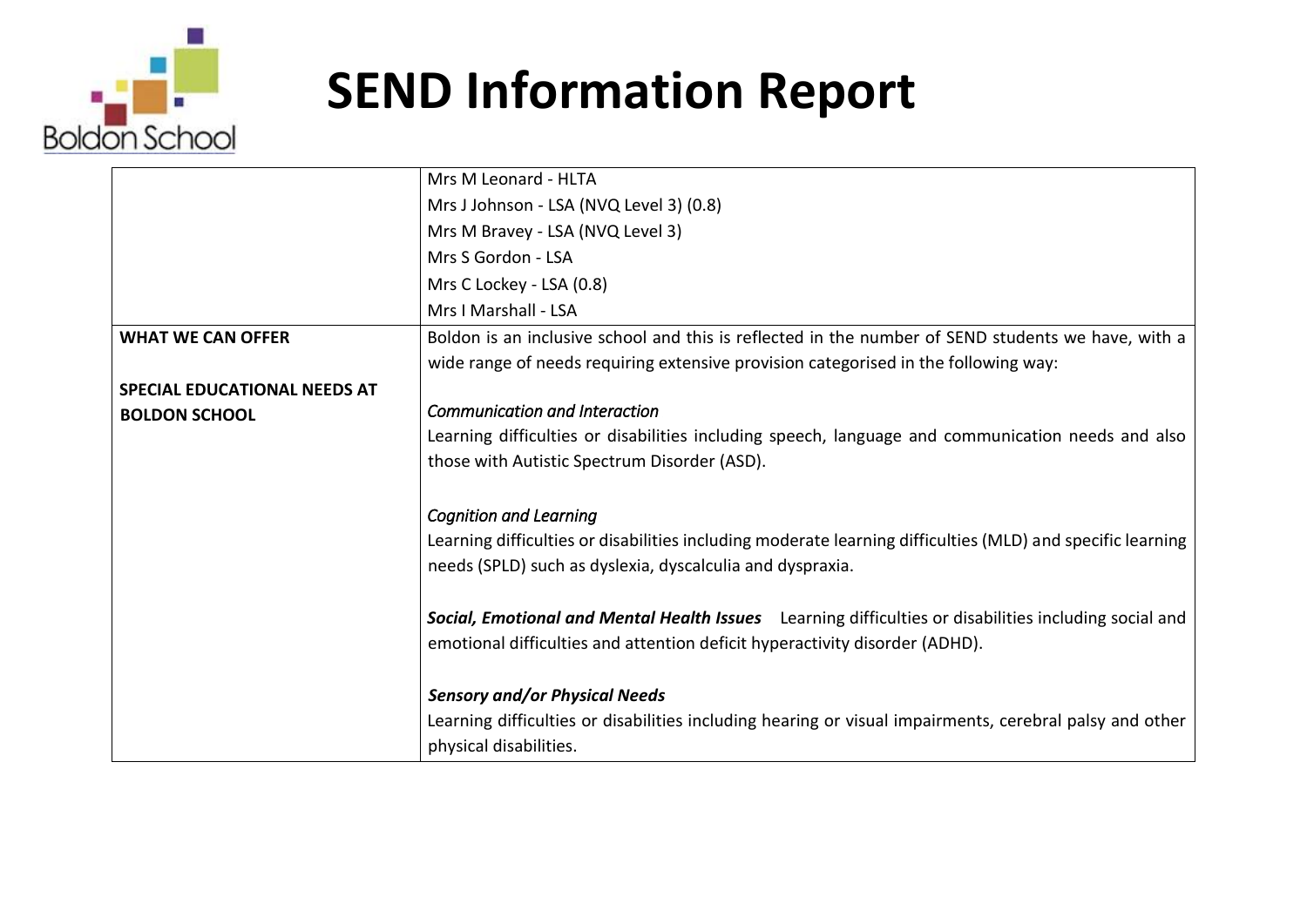

|                                     | Mrs M Leonard - HLTA                                                                                                                                                                      |
|-------------------------------------|-------------------------------------------------------------------------------------------------------------------------------------------------------------------------------------------|
|                                     | Mrs J Johnson - LSA (NVQ Level 3) (0.8)                                                                                                                                                   |
|                                     | Mrs M Bravey - LSA (NVQ Level 3)                                                                                                                                                          |
|                                     | Mrs S Gordon - LSA                                                                                                                                                                        |
|                                     | Mrs C Lockey - LSA (0.8)                                                                                                                                                                  |
|                                     | Mrs I Marshall - LSA                                                                                                                                                                      |
| <b>WHAT WE CAN OFFER</b>            | Boldon is an inclusive school and this is reflected in the number of SEND students we have, with a<br>wide range of needs requiring extensive provision categorised in the following way: |
| <b>SPECIAL EDUCATIONAL NEEDS AT</b> |                                                                                                                                                                                           |
| <b>BOLDON SCHOOL</b>                | <b>Communication and Interaction</b>                                                                                                                                                      |
|                                     | Learning difficulties or disabilities including speech, language and communication needs and also                                                                                         |
|                                     | those with Autistic Spectrum Disorder (ASD).                                                                                                                                              |
|                                     | <b>Cognition and Learning</b>                                                                                                                                                             |
|                                     | Learning difficulties or disabilities including moderate learning difficulties (MLD) and specific learning<br>needs (SPLD) such as dyslexia, dyscalculia and dyspraxia.                   |
|                                     | Social, Emotional and Mental Health Issues Learning difficulties or disabilities including social and<br>emotional difficulties and attention deficit hyperactivity disorder (ADHD).      |
|                                     | <b>Sensory and/or Physical Needs</b>                                                                                                                                                      |
|                                     | Learning difficulties or disabilities including hearing or visual impairments, cerebral palsy and other<br>physical disabilities.                                                         |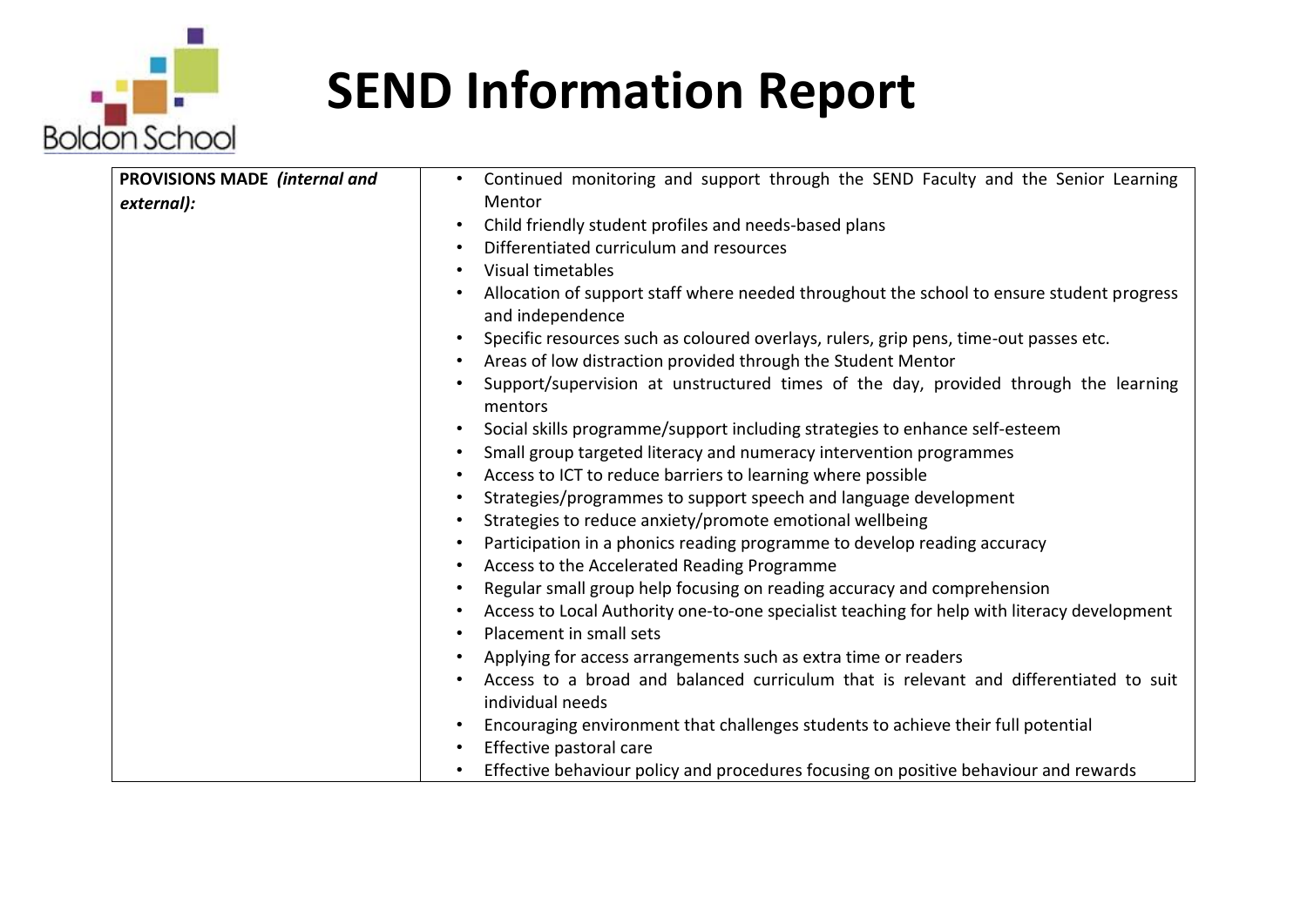

| <b>PROVISIONS MADE (internal and</b> | Continued monitoring and support through the SEND Faculty and the Senior Learning<br>$\bullet$                             |
|--------------------------------------|----------------------------------------------------------------------------------------------------------------------------|
| external):                           | Mentor                                                                                                                     |
|                                      | Child friendly student profiles and needs-based plans<br>$\bullet$                                                         |
|                                      | Differentiated curriculum and resources<br>$\bullet$                                                                       |
|                                      | Visual timetables<br>$\bullet$                                                                                             |
|                                      | Allocation of support staff where needed throughout the school to ensure student progress<br>$\bullet$<br>and independence |
|                                      | Specific resources such as coloured overlays, rulers, grip pens, time-out passes etc.<br>$\bullet$                         |
|                                      | Areas of low distraction provided through the Student Mentor<br>$\bullet$                                                  |
|                                      | Support/supervision at unstructured times of the day, provided through the learning<br>$\bullet$<br>mentors                |
|                                      | Social skills programme/support including strategies to enhance self-esteem<br>$\bullet$                                   |
|                                      | Small group targeted literacy and numeracy intervention programmes<br>$\bullet$                                            |
|                                      | Access to ICT to reduce barriers to learning where possible<br>$\bullet$                                                   |
|                                      | Strategies/programmes to support speech and language development<br>$\bullet$                                              |
|                                      | Strategies to reduce anxiety/promote emotional wellbeing<br>$\bullet$                                                      |
|                                      | Participation in a phonics reading programme to develop reading accuracy<br>$\bullet$                                      |
|                                      | Access to the Accelerated Reading Programme<br>$\bullet$                                                                   |
|                                      | Regular small group help focusing on reading accuracy and comprehension<br>$\bullet$                                       |
|                                      | Access to Local Authority one-to-one specialist teaching for help with literacy development<br>$\bullet$                   |
|                                      | Placement in small sets<br>$\bullet$                                                                                       |
|                                      | Applying for access arrangements such as extra time or readers<br>$\bullet$                                                |
|                                      | Access to a broad and balanced curriculum that is relevant and differentiated to suit<br>$\bullet$                         |
|                                      | individual needs                                                                                                           |
|                                      | Encouraging environment that challenges students to achieve their full potential                                           |
|                                      | Effective pastoral care<br>$\bullet$                                                                                       |
|                                      | Effective behaviour policy and procedures focusing on positive behaviour and rewards<br>$\bullet$                          |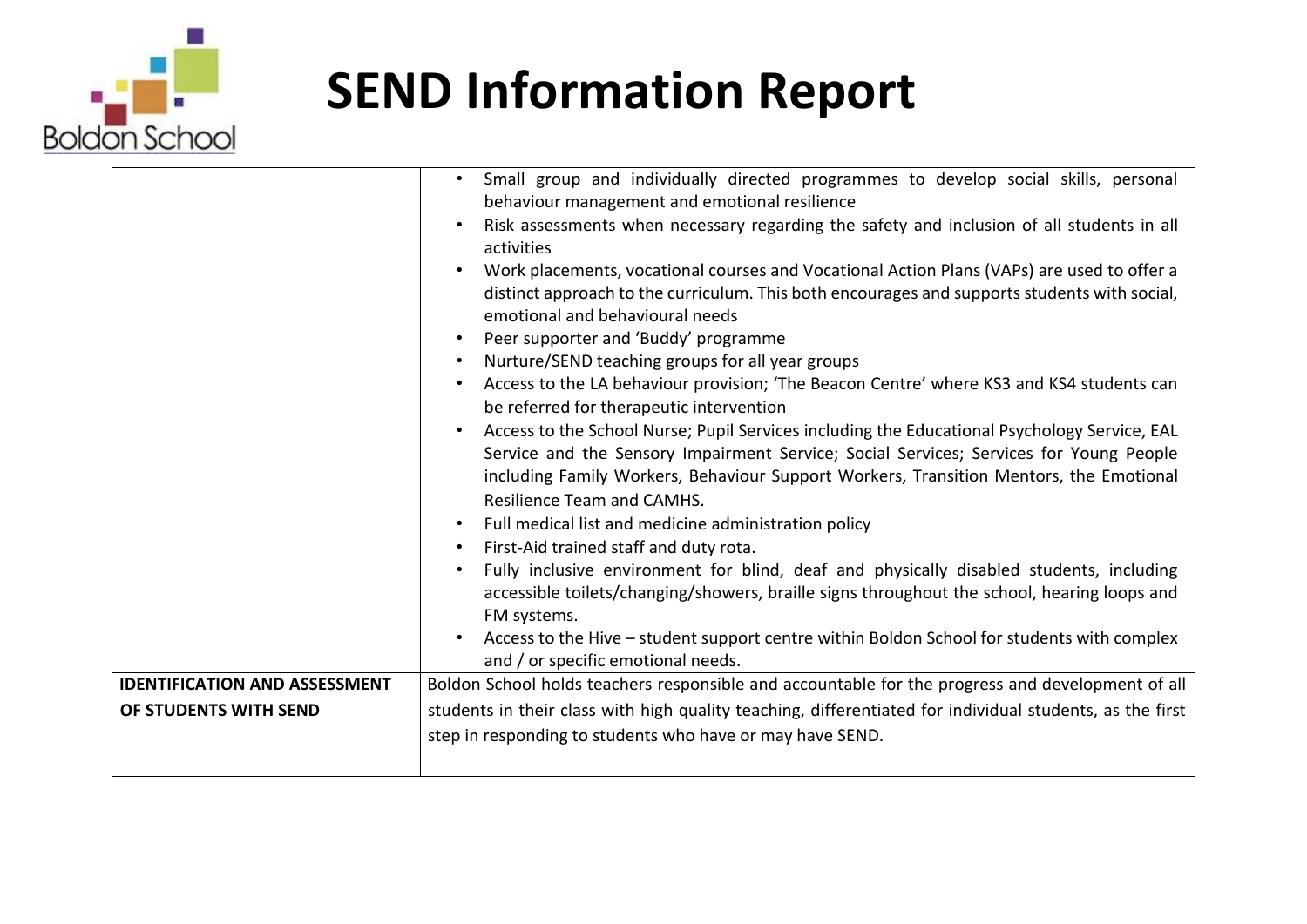

| <b>IDENTIFICATION AND ASSESSMENT</b> | Small group and individually directed programmes to develop social skills, personal<br>$\bullet$<br>behaviour management and emotional resilience<br>Risk assessments when necessary regarding the safety and inclusion of all students in all<br>$\bullet$<br>activities<br>Work placements, vocational courses and Vocational Action Plans (VAPs) are used to offer a<br>distinct approach to the curriculum. This both encourages and supports students with social,<br>emotional and behavioural needs<br>Peer supporter and 'Buddy' programme<br>$\bullet$<br>Nurture/SEND teaching groups for all year groups<br>$\bullet$<br>Access to the LA behaviour provision; 'The Beacon Centre' where KS3 and KS4 students can<br>$\bullet$<br>be referred for therapeutic intervention<br>Access to the School Nurse; Pupil Services including the Educational Psychology Service, EAL<br>$\bullet$<br>Service and the Sensory Impairment Service; Social Services; Services for Young People<br>including Family Workers, Behaviour Support Workers, Transition Mentors, the Emotional<br><b>Resilience Team and CAMHS.</b><br>Full medical list and medicine administration policy<br>$\bullet$<br>First-Aid trained staff and duty rota.<br>$\bullet$<br>Fully inclusive environment for blind, deaf and physically disabled students, including<br>$\bullet$<br>accessible toilets/changing/showers, braille signs throughout the school, hearing loops and<br>FM systems.<br>Access to the Hive - student support centre within Boldon School for students with complex<br>$\bullet$<br>and / or specific emotional needs. |
|--------------------------------------|--------------------------------------------------------------------------------------------------------------------------------------------------------------------------------------------------------------------------------------------------------------------------------------------------------------------------------------------------------------------------------------------------------------------------------------------------------------------------------------------------------------------------------------------------------------------------------------------------------------------------------------------------------------------------------------------------------------------------------------------------------------------------------------------------------------------------------------------------------------------------------------------------------------------------------------------------------------------------------------------------------------------------------------------------------------------------------------------------------------------------------------------------------------------------------------------------------------------------------------------------------------------------------------------------------------------------------------------------------------------------------------------------------------------------------------------------------------------------------------------------------------------------------------------------------------------------------------------------------------------------------|
|                                      | Boldon School holds teachers responsible and accountable for the progress and development of all                                                                                                                                                                                                                                                                                                                                                                                                                                                                                                                                                                                                                                                                                                                                                                                                                                                                                                                                                                                                                                                                                                                                                                                                                                                                                                                                                                                                                                                                                                                               |
| OF STUDENTS WITH SEND                | students in their class with high quality teaching, differentiated for individual students, as the first                                                                                                                                                                                                                                                                                                                                                                                                                                                                                                                                                                                                                                                                                                                                                                                                                                                                                                                                                                                                                                                                                                                                                                                                                                                                                                                                                                                                                                                                                                                       |
|                                      | step in responding to students who have or may have SEND.                                                                                                                                                                                                                                                                                                                                                                                                                                                                                                                                                                                                                                                                                                                                                                                                                                                                                                                                                                                                                                                                                                                                                                                                                                                                                                                                                                                                                                                                                                                                                                      |
|                                      |                                                                                                                                                                                                                                                                                                                                                                                                                                                                                                                                                                                                                                                                                                                                                                                                                                                                                                                                                                                                                                                                                                                                                                                                                                                                                                                                                                                                                                                                                                                                                                                                                                |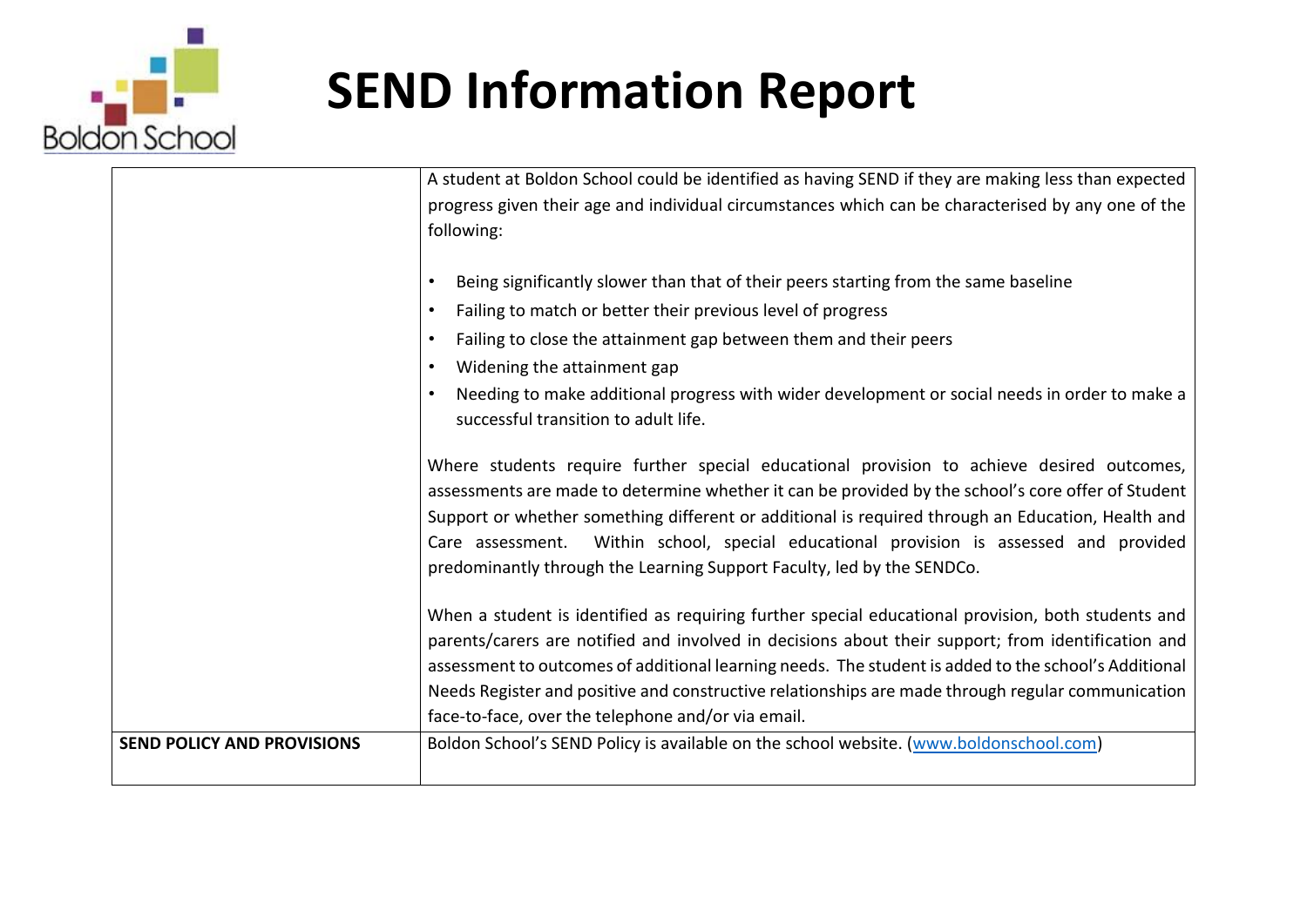

|                                   | A student at Boldon School could be identified as having SEND if they are making less than expected                                                                                             |
|-----------------------------------|-------------------------------------------------------------------------------------------------------------------------------------------------------------------------------------------------|
|                                   | progress given their age and individual circumstances which can be characterised by any one of the                                                                                              |
|                                   | following:                                                                                                                                                                                      |
|                                   | Being significantly slower than that of their peers starting from the same baseline                                                                                                             |
|                                   | Failing to match or better their previous level of progress                                                                                                                                     |
|                                   | Failing to close the attainment gap between them and their peers<br>$\bullet$                                                                                                                   |
|                                   | Widening the attainment gap<br>$\bullet$                                                                                                                                                        |
|                                   | Needing to make additional progress with wider development or social needs in order to make a                                                                                                   |
|                                   | successful transition to adult life.                                                                                                                                                            |
|                                   |                                                                                                                                                                                                 |
|                                   | Where students require further special educational provision to achieve desired outcomes,<br>assessments are made to determine whether it can be provided by the school's core offer of Student |
|                                   | Support or whether something different or additional is required through an Education, Health and                                                                                               |
|                                   | Care assessment. Within school, special educational provision is assessed and provided                                                                                                          |
|                                   | predominantly through the Learning Support Faculty, led by the SENDCo.                                                                                                                          |
|                                   | When a student is identified as requiring further special educational provision, both students and                                                                                              |
|                                   | parents/carers are notified and involved in decisions about their support; from identification and                                                                                              |
|                                   | assessment to outcomes of additional learning needs. The student is added to the school's Additional                                                                                            |
|                                   | Needs Register and positive and constructive relationships are made through regular communication                                                                                               |
|                                   | face-to-face, over the telephone and/or via email.                                                                                                                                              |
| <b>SEND POLICY AND PROVISIONS</b> | Boldon School's SEND Policy is available on the school website. (www.boldonschool.com)                                                                                                          |
|                                   |                                                                                                                                                                                                 |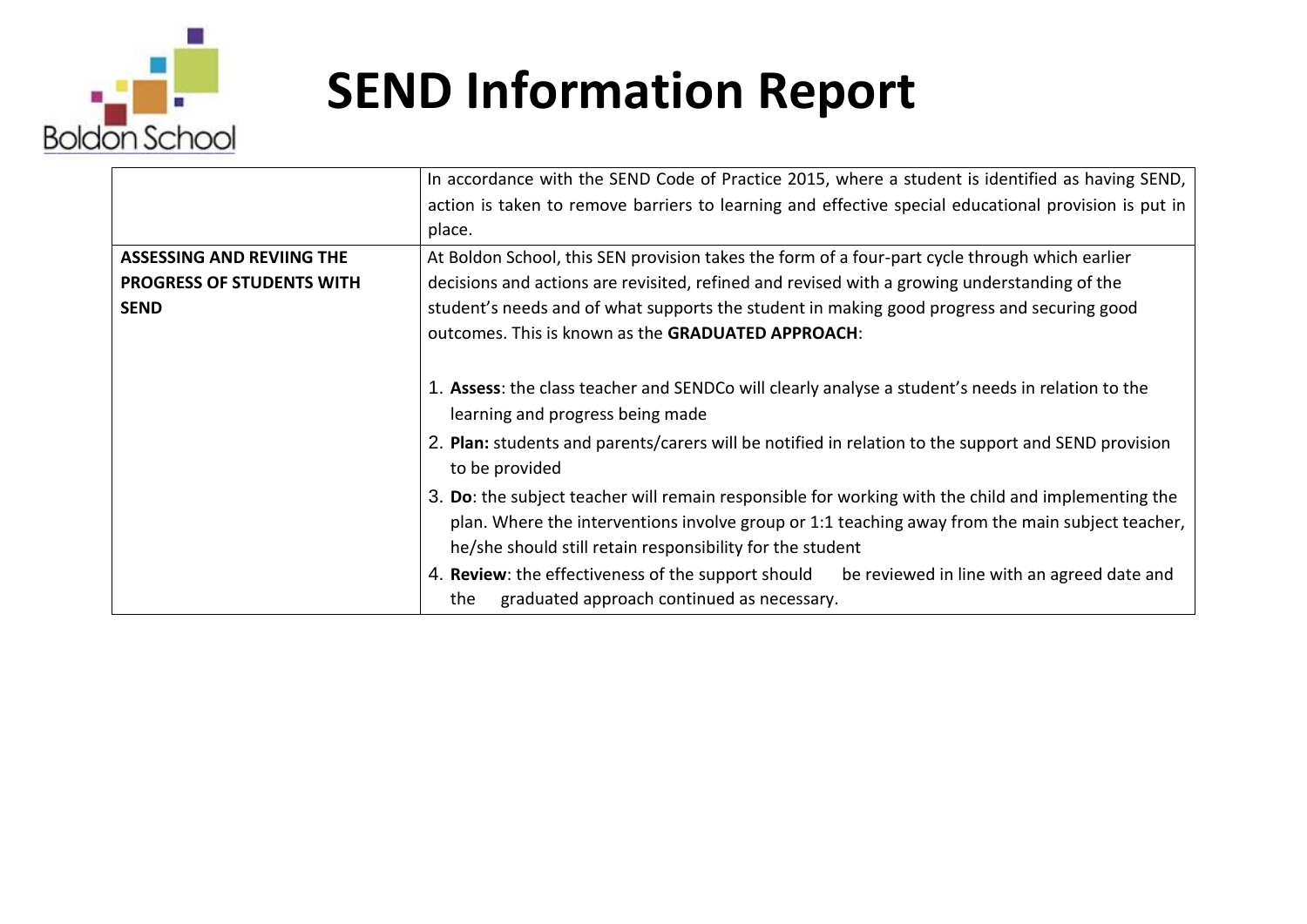

|                                  | In accordance with the SEND Code of Practice 2015, where a student is identified as having SEND,                                                                                                                                                                   |
|----------------------------------|--------------------------------------------------------------------------------------------------------------------------------------------------------------------------------------------------------------------------------------------------------------------|
|                                  | action is taken to remove barriers to learning and effective special educational provision is put in                                                                                                                                                               |
|                                  | place.                                                                                                                                                                                                                                                             |
| <b>ASSESSING AND REVIING THE</b> | At Boldon School, this SEN provision takes the form of a four-part cycle through which earlier                                                                                                                                                                     |
| <b>PROGRESS OF STUDENTS WITH</b> | decisions and actions are revisited, refined and revised with a growing understanding of the                                                                                                                                                                       |
| <b>SEND</b>                      | student's needs and of what supports the student in making good progress and securing good                                                                                                                                                                         |
|                                  | outcomes. This is known as the GRADUATED APPROACH:                                                                                                                                                                                                                 |
|                                  |                                                                                                                                                                                                                                                                    |
|                                  | 1. Assess: the class teacher and SENDCo will clearly analyse a student's needs in relation to the<br>learning and progress being made                                                                                                                              |
|                                  | 2. Plan: students and parents/carers will be notified in relation to the support and SEND provision<br>to be provided                                                                                                                                              |
|                                  | 3. Do: the subject teacher will remain responsible for working with the child and implementing the<br>plan. Where the interventions involve group or 1:1 teaching away from the main subject teacher,<br>he/she should still retain responsibility for the student |
|                                  | 4. Review: the effectiveness of the support should<br>be reviewed in line with an agreed date and                                                                                                                                                                  |
|                                  | graduated approach continued as necessary.<br>the                                                                                                                                                                                                                  |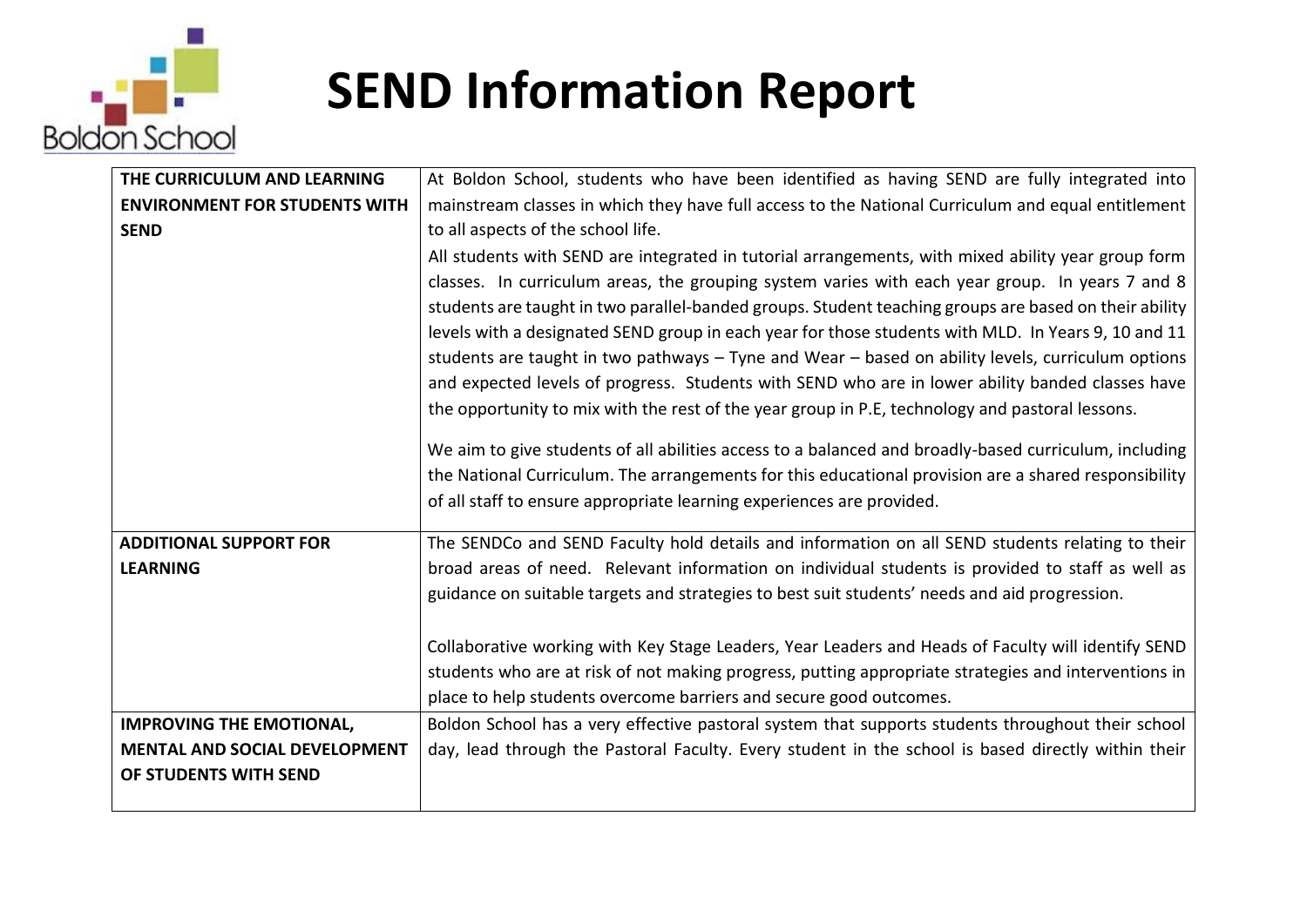

| THE CURRICULUM AND LEARNING          | At Boldon School, students who have been identified as having SEND are fully integrated into          |
|--------------------------------------|-------------------------------------------------------------------------------------------------------|
| <b>ENVIRONMENT FOR STUDENTS WITH</b> | mainstream classes in which they have full access to the National Curriculum and equal entitlement    |
| <b>SEND</b>                          | to all aspects of the school life.                                                                    |
|                                      | All students with SEND are integrated in tutorial arrangements, with mixed ability year group form    |
|                                      | classes. In curriculum areas, the grouping system varies with each year group. In years 7 and 8       |
|                                      | students are taught in two parallel-banded groups. Student teaching groups are based on their ability |
|                                      | levels with a designated SEND group in each year for those students with MLD. In Years 9, 10 and 11   |
|                                      | students are taught in two pathways - Tyne and Wear - based on ability levels, curriculum options     |
|                                      | and expected levels of progress. Students with SEND who are in lower ability banded classes have      |
|                                      | the opportunity to mix with the rest of the year group in P.E, technology and pastoral lessons.       |
|                                      |                                                                                                       |
|                                      | We aim to give students of all abilities access to a balanced and broadly-based curriculum, including |
|                                      | the National Curriculum. The arrangements for this educational provision are a shared responsibility  |
|                                      | of all staff to ensure appropriate learning experiences are provided.                                 |
| <b>ADDITIONAL SUPPORT FOR</b>        | The SENDCo and SEND Faculty hold details and information on all SEND students relating to their       |
| <b>LEARNING</b>                      | broad areas of need. Relevant information on individual students is provided to staff as well as      |
|                                      | guidance on suitable targets and strategies to best suit students' needs and aid progression.         |
|                                      |                                                                                                       |
|                                      | Collaborative working with Key Stage Leaders, Year Leaders and Heads of Faculty will identify SEND    |
|                                      | students who are at risk of not making progress, putting appropriate strategies and interventions in  |
|                                      | place to help students overcome barriers and secure good outcomes.                                    |
| <b>IMPROVING THE EMOTIONAL,</b>      | Boldon School has a very effective pastoral system that supports students throughout their school     |
| <b>MENTAL AND SOCIAL DEVELOPMENT</b> | day, lead through the Pastoral Faculty. Every student in the school is based directly within their    |
| OF STUDENTS WITH SEND                |                                                                                                       |
|                                      |                                                                                                       |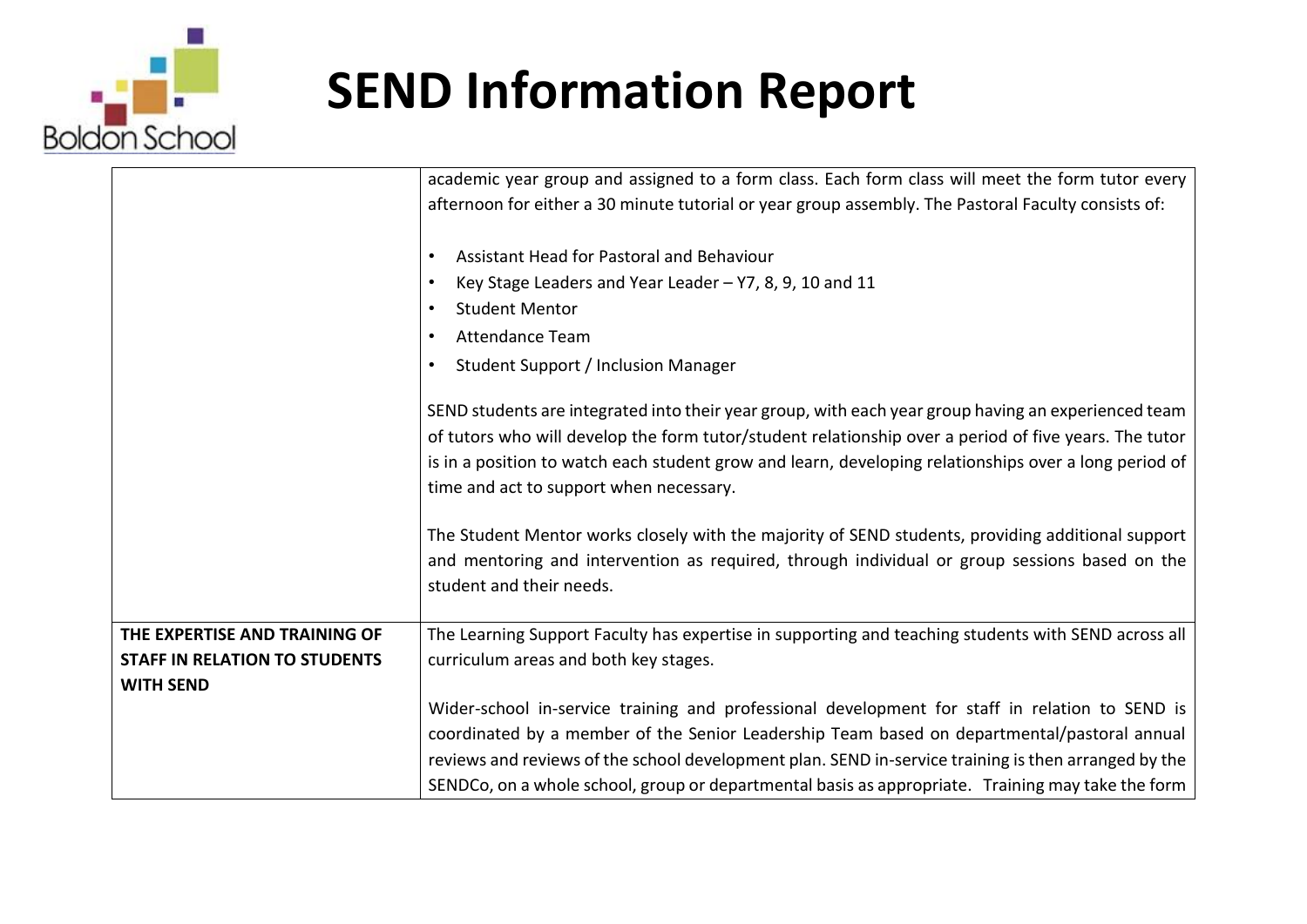

|                                      | academic year group and assigned to a form class. Each form class will meet the form tutor every      |
|--------------------------------------|-------------------------------------------------------------------------------------------------------|
|                                      | afternoon for either a 30 minute tutorial or year group assembly. The Pastoral Faculty consists of:   |
|                                      |                                                                                                       |
|                                      | Assistant Head for Pastoral and Behaviour                                                             |
|                                      | Key Stage Leaders and Year Leader - Y7, 8, 9, 10 and 11                                               |
|                                      | <b>Student Mentor</b>                                                                                 |
|                                      | <b>Attendance Team</b>                                                                                |
|                                      | Student Support / Inclusion Manager                                                                   |
|                                      | SEND students are integrated into their year group, with each year group having an experienced team   |
|                                      | of tutors who will develop the form tutor/student relationship over a period of five years. The tutor |
|                                      | is in a position to watch each student grow and learn, developing relationships over a long period of |
|                                      | time and act to support when necessary.                                                               |
|                                      |                                                                                                       |
|                                      | The Student Mentor works closely with the majority of SEND students, providing additional support     |
|                                      | and mentoring and intervention as required, through individual or group sessions based on the         |
|                                      | student and their needs.                                                                              |
| THE EXPERTISE AND TRAINING OF        | The Learning Support Faculty has expertise in supporting and teaching students with SEND across all   |
| <b>STAFF IN RELATION TO STUDENTS</b> | curriculum areas and both key stages.                                                                 |
| <b>WITH SEND</b>                     |                                                                                                       |
|                                      | Wider-school in-service training and professional development for staff in relation to SEND is        |
|                                      | coordinated by a member of the Senior Leadership Team based on departmental/pastoral annual           |
|                                      | reviews and reviews of the school development plan. SEND in-service training is then arranged by the  |
|                                      | SENDCo, on a whole school, group or departmental basis as appropriate. Training may take the form     |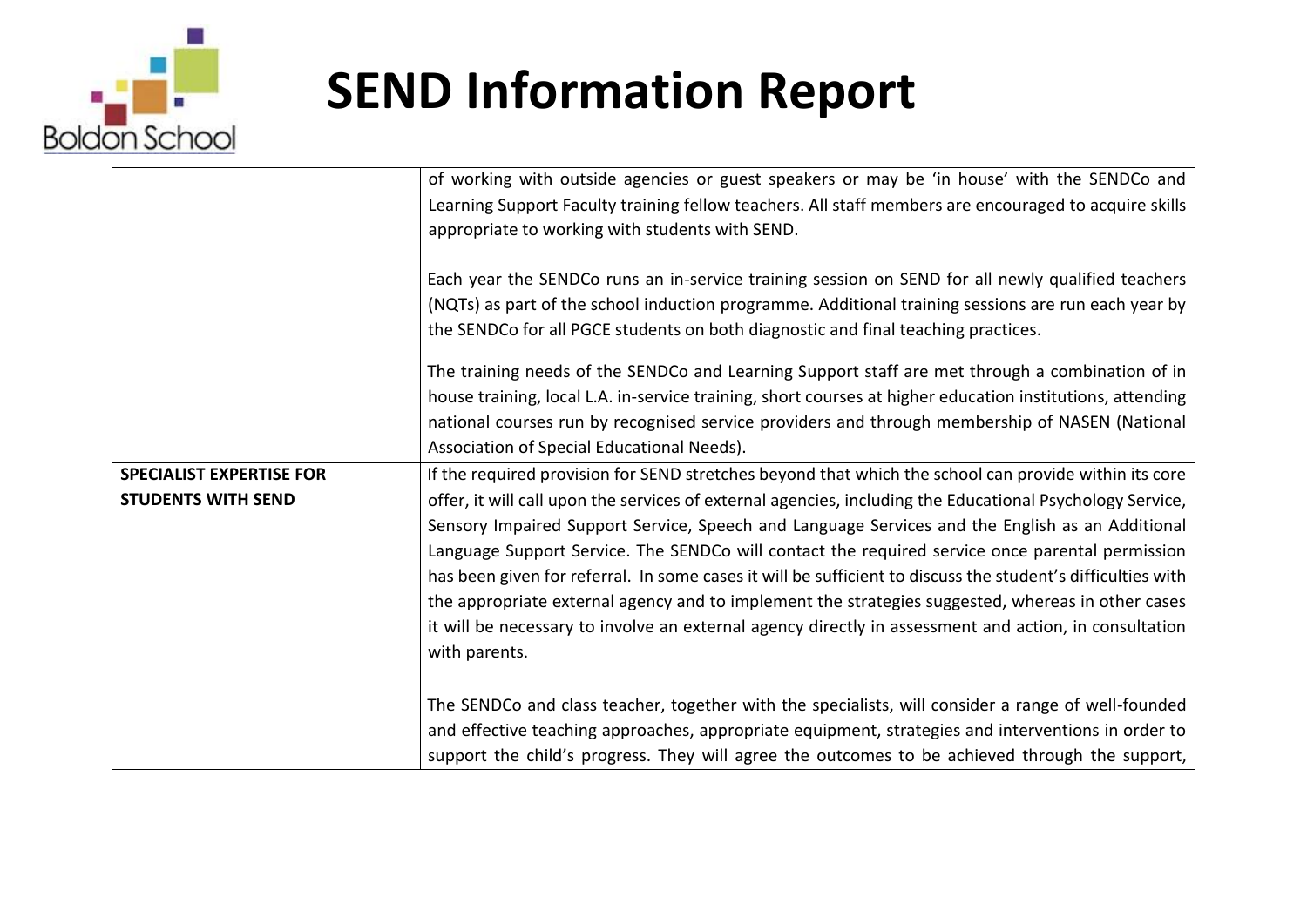

|                                 | of working with outside agencies or guest speakers or may be 'in house' with the SENDCo and                 |
|---------------------------------|-------------------------------------------------------------------------------------------------------------|
|                                 | Learning Support Faculty training fellow teachers. All staff members are encouraged to acquire skills       |
|                                 | appropriate to working with students with SEND.                                                             |
|                                 |                                                                                                             |
|                                 |                                                                                                             |
|                                 | Each year the SENDCo runs an in-service training session on SEND for all newly qualified teachers           |
|                                 | (NQTs) as part of the school induction programme. Additional training sessions are run each year by         |
|                                 | the SENDCo for all PGCE students on both diagnostic and final teaching practices.                           |
|                                 |                                                                                                             |
|                                 | The training needs of the SENDCo and Learning Support staff are met through a combination of in             |
|                                 | house training, local L.A. in-service training, short courses at higher education institutions, attending   |
|                                 | national courses run by recognised service providers and through membership of NASEN (National              |
|                                 | Association of Special Educational Needs).                                                                  |
| <b>SPECIALIST EXPERTISE FOR</b> | If the required provision for SEND stretches beyond that which the school can provide within its core       |
| <b>STUDENTS WITH SEND</b>       | offer, it will call upon the services of external agencies, including the Educational Psychology Service,   |
|                                 | Sensory Impaired Support Service, Speech and Language Services and the English as an Additional             |
|                                 | Language Support Service. The SENDCo will contact the required service once parental permission             |
|                                 | has been given for referral. In some cases it will be sufficient to discuss the student's difficulties with |
|                                 | the appropriate external agency and to implement the strategies suggested, whereas in other cases           |
|                                 | it will be necessary to involve an external agency directly in assessment and action, in consultation       |
|                                 |                                                                                                             |
|                                 | with parents.                                                                                               |
|                                 |                                                                                                             |
|                                 | The SENDCo and class teacher, together with the specialists, will consider a range of well-founded          |
|                                 | and effective teaching approaches, appropriate equipment, strategies and interventions in order to          |
|                                 | support the child's progress. They will agree the outcomes to be achieved through the support,              |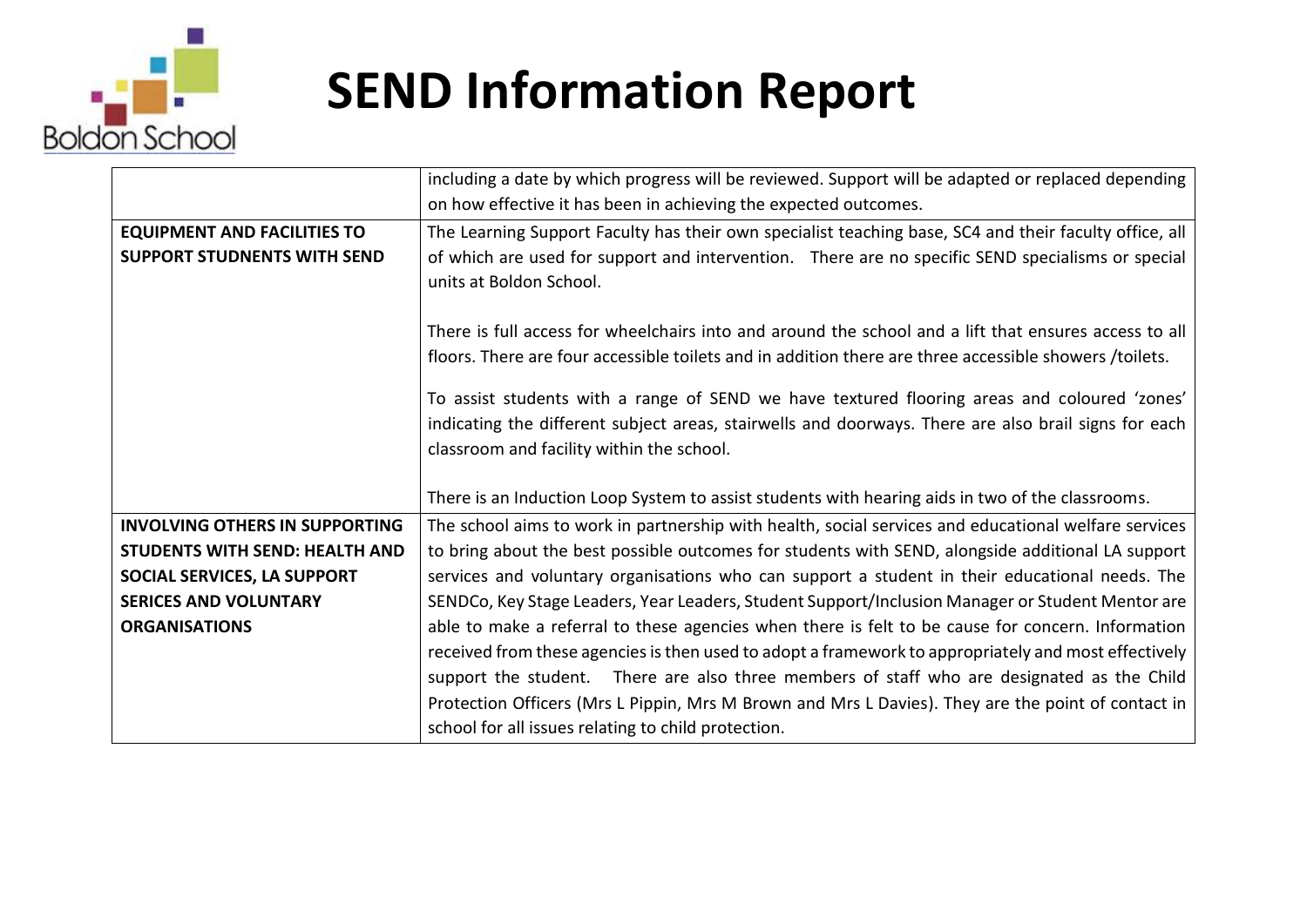

|                                       | including a date by which progress will be reviewed. Support will be adapted or replaced depending                                                                                                              |
|---------------------------------------|-----------------------------------------------------------------------------------------------------------------------------------------------------------------------------------------------------------------|
|                                       | on how effective it has been in achieving the expected outcomes.                                                                                                                                                |
| <b>EQUIPMENT AND FACILITIES TO</b>    | The Learning Support Faculty has their own specialist teaching base, SC4 and their faculty office, all                                                                                                          |
| <b>SUPPORT STUDNENTS WITH SEND</b>    | of which are used for support and intervention. There are no specific SEND specialisms or special<br>units at Boldon School.                                                                                    |
|                                       | There is full access for wheelchairs into and around the school and a lift that ensures access to all<br>floors. There are four accessible toilets and in addition there are three accessible showers /toilets. |
|                                       | To assist students with a range of SEND we have textured flooring areas and coloured 'zones'                                                                                                                    |
|                                       | indicating the different subject areas, stairwells and doorways. There are also brail signs for each                                                                                                            |
|                                       | classroom and facility within the school.                                                                                                                                                                       |
|                                       |                                                                                                                                                                                                                 |
|                                       | There is an Induction Loop System to assist students with hearing aids in two of the classrooms.                                                                                                                |
| <b>INVOLVING OTHERS IN SUPPORTING</b> | The school aims to work in partnership with health, social services and educational welfare services                                                                                                            |
| <b>STUDENTS WITH SEND: HEALTH AND</b> | to bring about the best possible outcomes for students with SEND, alongside additional LA support                                                                                                               |
| SOCIAL SERVICES, LA SUPPORT           | services and voluntary organisations who can support a student in their educational needs. The                                                                                                                  |
| <b>SERICES AND VOLUNTARY</b>          | SENDCo, Key Stage Leaders, Year Leaders, Student Support/Inclusion Manager or Student Mentor are                                                                                                                |
| <b>ORGANISATIONS</b>                  | able to make a referral to these agencies when there is felt to be cause for concern. Information                                                                                                               |
|                                       | received from these agencies is then used to adopt a framework to appropriately and most effectively                                                                                                            |
|                                       | support the student. There are also three members of staff who are designated as the Child                                                                                                                      |
|                                       | Protection Officers (Mrs L Pippin, Mrs M Brown and Mrs L Davies). They are the point of contact in                                                                                                              |
|                                       | school for all issues relating to child protection.                                                                                                                                                             |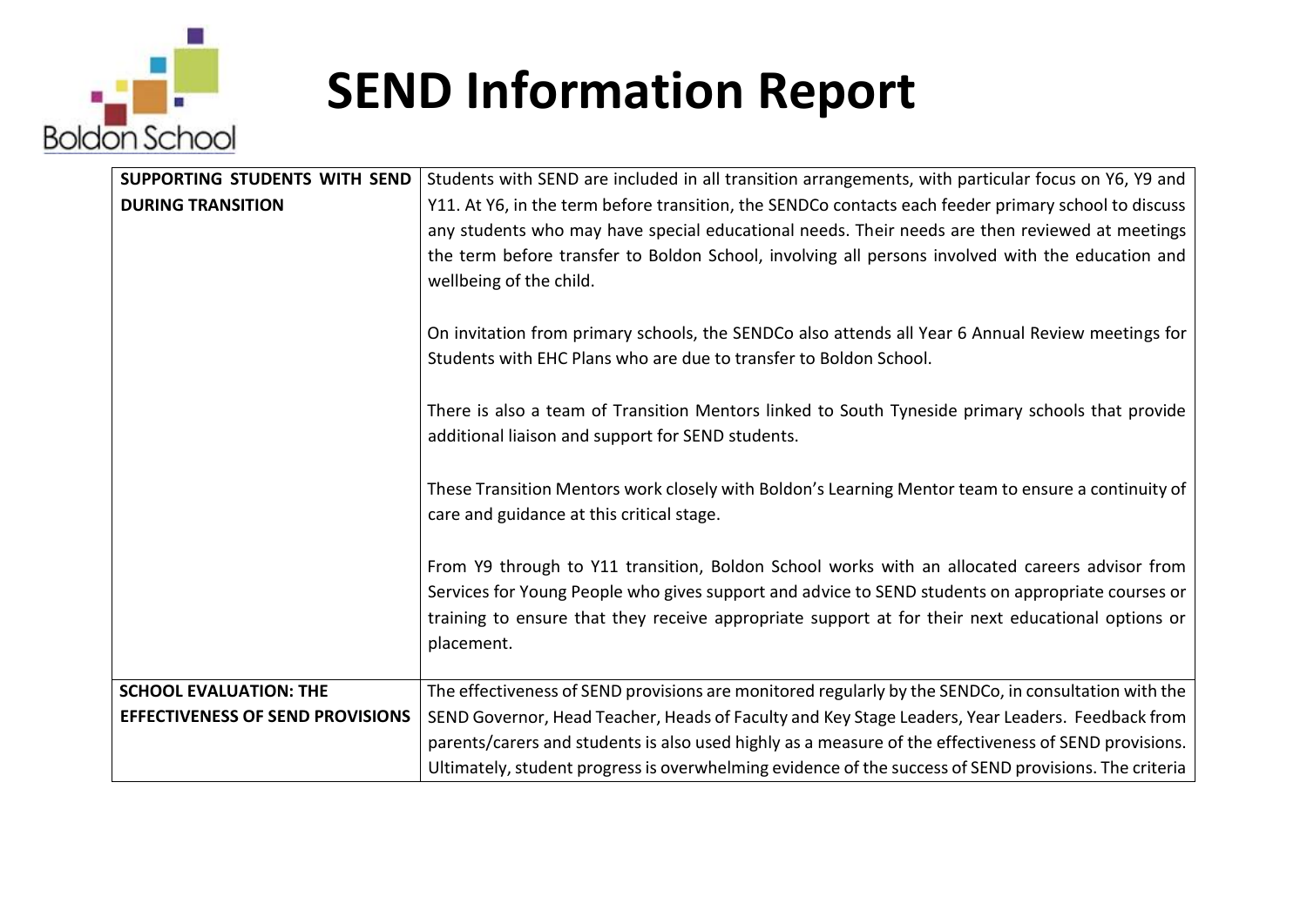

| SUPPORTING STUDENTS WITH SEND           | Students with SEND are included in all transition arrangements, with particular focus on Y6, Y9 and   |
|-----------------------------------------|-------------------------------------------------------------------------------------------------------|
| <b>DURING TRANSITION</b>                | Y11. At Y6, in the term before transition, the SENDCo contacts each feeder primary school to discuss  |
|                                         | any students who may have special educational needs. Their needs are then reviewed at meetings        |
|                                         | the term before transfer to Boldon School, involving all persons involved with the education and      |
|                                         | wellbeing of the child.                                                                               |
|                                         |                                                                                                       |
|                                         | On invitation from primary schools, the SENDCo also attends all Year 6 Annual Review meetings for     |
|                                         | Students with EHC Plans who are due to transfer to Boldon School.                                     |
|                                         |                                                                                                       |
|                                         | There is also a team of Transition Mentors linked to South Tyneside primary schools that provide      |
|                                         | additional liaison and support for SEND students.                                                     |
|                                         |                                                                                                       |
|                                         | These Transition Mentors work closely with Boldon's Learning Mentor team to ensure a continuity of    |
|                                         | care and guidance at this critical stage.                                                             |
|                                         |                                                                                                       |
|                                         | From Y9 through to Y11 transition, Boldon School works with an allocated careers advisor from         |
|                                         | Services for Young People who gives support and advice to SEND students on appropriate courses or     |
|                                         | training to ensure that they receive appropriate support at for their next educational options or     |
|                                         | placement.                                                                                            |
|                                         |                                                                                                       |
| <b>SCHOOL EVALUATION: THE</b>           | The effectiveness of SEND provisions are monitored regularly by the SENDCo, in consultation with the  |
| <b>EFFECTIVENESS OF SEND PROVISIONS</b> | SEND Governor, Head Teacher, Heads of Faculty and Key Stage Leaders, Year Leaders. Feedback from      |
|                                         | parents/carers and students is also used highly as a measure of the effectiveness of SEND provisions. |
|                                         | Ultimately, student progress is overwhelming evidence of the success of SEND provisions. The criteria |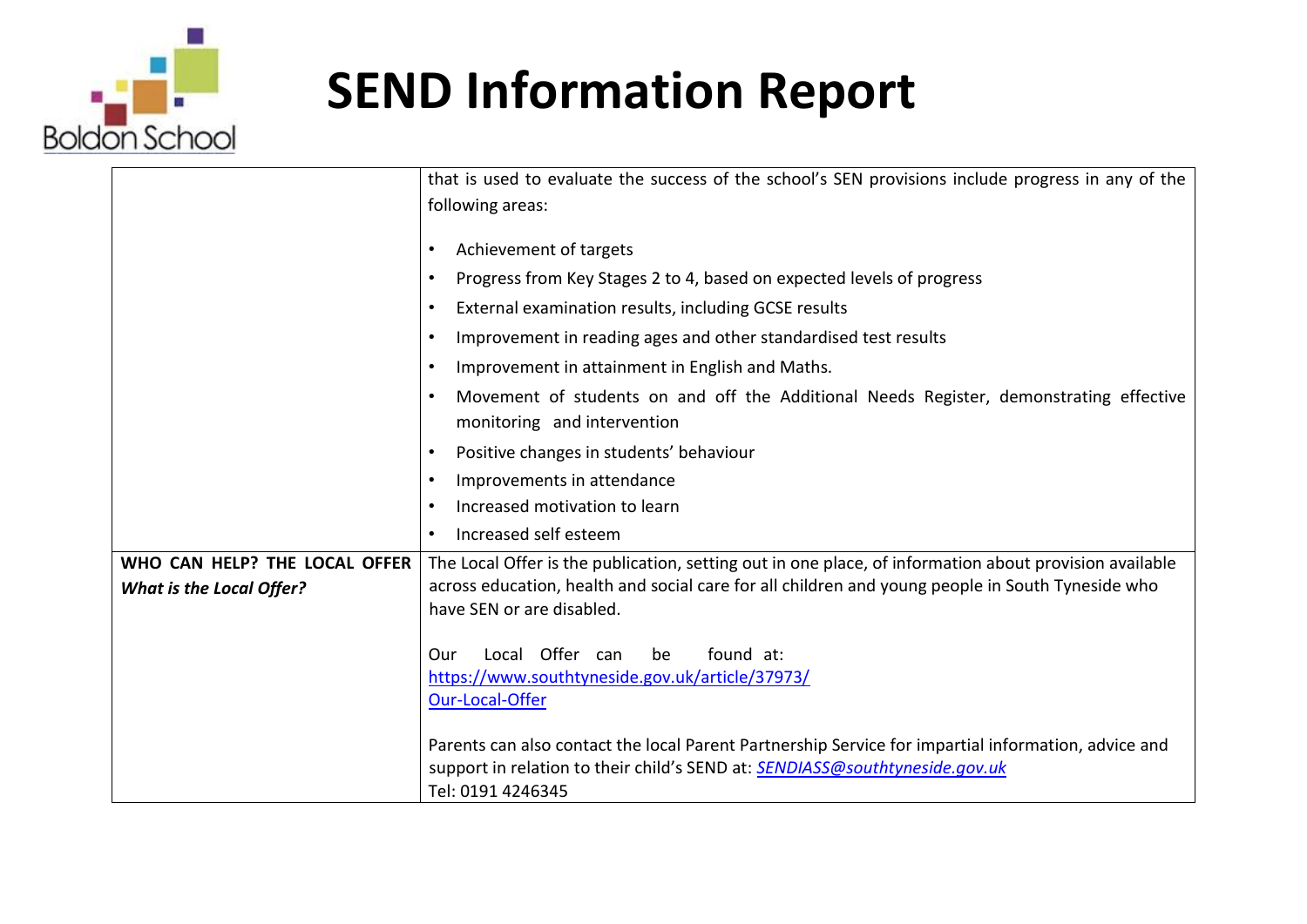

|                                 | that is used to evaluate the success of the school's SEN provisions include progress in any of the                                                                                                      |
|---------------------------------|---------------------------------------------------------------------------------------------------------------------------------------------------------------------------------------------------------|
|                                 | following areas:                                                                                                                                                                                        |
|                                 |                                                                                                                                                                                                         |
|                                 | Achievement of targets<br>$\bullet$                                                                                                                                                                     |
|                                 | Progress from Key Stages 2 to 4, based on expected levels of progress<br>$\bullet$                                                                                                                      |
|                                 | External examination results, including GCSE results<br>$\bullet$                                                                                                                                       |
|                                 | Improvement in reading ages and other standardised test results<br>$\bullet$                                                                                                                            |
|                                 | Improvement in attainment in English and Maths.<br>$\bullet$                                                                                                                                            |
|                                 | Movement of students on and off the Additional Needs Register, demonstrating effective<br>monitoring and intervention                                                                                   |
|                                 | Positive changes in students' behaviour                                                                                                                                                                 |
|                                 | Improvements in attendance<br>$\bullet$                                                                                                                                                                 |
|                                 | Increased motivation to learn<br>$\bullet$                                                                                                                                                              |
|                                 | Increased self esteem                                                                                                                                                                                   |
| WHO CAN HELP? THE LOCAL OFFER   | The Local Offer is the publication, setting out in one place, of information about provision available                                                                                                  |
| <b>What is the Local Offer?</b> | across education, health and social care for all children and young people in South Tyneside who                                                                                                        |
|                                 | have SEN or are disabled.                                                                                                                                                                               |
|                                 | Local Offer can<br>found at:<br>be<br>Our<br>https://www.southtyneside.gov.uk/article/37973/<br><b>Our-Local-Offer</b>                                                                                  |
|                                 | Parents can also contact the local Parent Partnership Service for impartial information, advice and<br>support in relation to their child's SEND at: SENDIASS@southtyneside.gov.uk<br>Tel: 0191 4246345 |